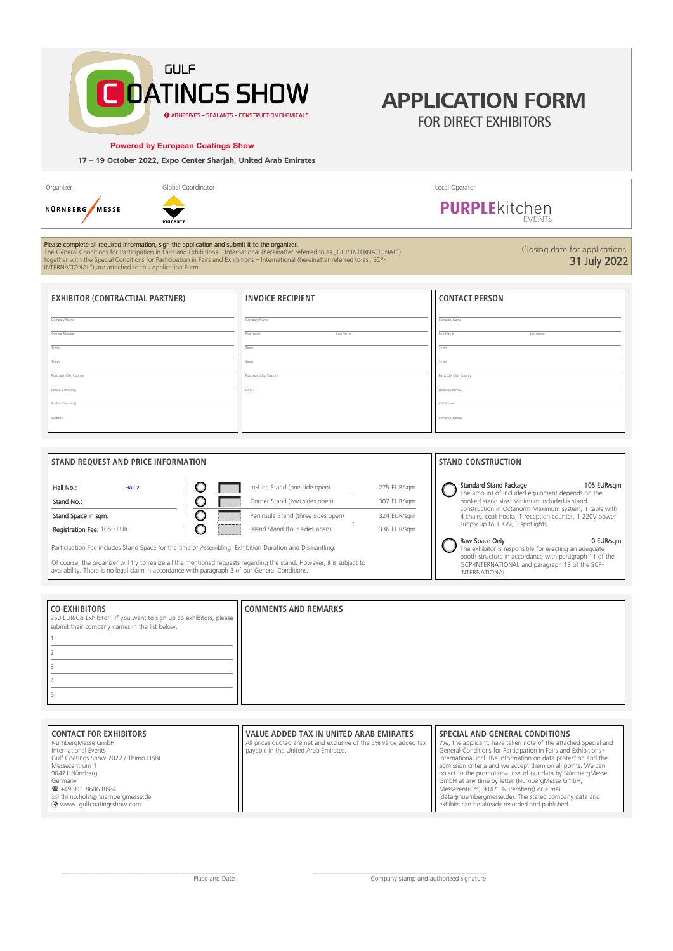## **GULF DATINGS SHOW** O ADHESIVES - SEALANTS - CONSTRUCTION CHEMICALS

#### **Powered by European Coatings Show**

**17 – 19 October 2022, Expo Center Sharjah, United Arab Emirates**

| Organizer                |
|--------------------------|
| NÜRNBERG<br><b>MFSSF</b> |
|                          |

**CO-EXHIBITORS**

1.

250 EUR/Co-Exhibitor | If you want to sign up co-exhibitors, please

submit their company names in the list below.



## **Please complete all required information, sign the application and submit it to the organizer.**<br>The General Conditions for Participation in Fairs and Exhibitions – International (hereinafter referred to as "GCP-INTERNATIO tal Conditions for Participation in Fairs and Exhibitions – International (hereinafter referred to as "GCP-INTERNATIO<br>with the Special Conditions for Participation in Fairs and Exhibitions – International (hereinafter refe

INTERNATIONAL") are attached to this Application Form.

**EXHIBITOR (CONTRACTUAL PARTNER)** Company Name General Manager Street Street Postcode, City, Country Phone (Company) E-Mail (Company) Website **INVOICE RECIPIENT** Company Name First Name Last Name **Street** Street Postcode, City, Country E-Mail **CONTACT PERSON** Company Name First Name Last Name Street Street Postcode, City, Country Phone (personal) Cell Phone E-Mail (personal)

| STAND REQUEST AND PRICE INFORMATION                                                                     |                                    |             | <b>STAND CONSTRUCTION</b>                                                                                                         |             |
|---------------------------------------------------------------------------------------------------------|------------------------------------|-------------|-----------------------------------------------------------------------------------------------------------------------------------|-------------|
|                                                                                                         |                                    |             |                                                                                                                                   |             |
| Hall No.:<br>Hall 2                                                                                     | In-Line Stand (one side open)      | 275 EUR/sgm | Standard Stand Package<br>The amount of included equipment depends on the                                                         | 105 EUR/sam |
| Stand No.:                                                                                              | Corner Stand (two sides open)      | 307 EUR/sgm | booked stand size. Minimum included is stand                                                                                      |             |
| Stand Space in sqm:                                                                                     | Peninsula Stand (three sides open) | 324 EUR/sgm | construction in Octanorm Maximum system, 1 table with<br>4 chairs, coat hooks, 1 reception counter, 1 220V power                  |             |
| Registration Fee: 1050 EUR                                                                              | Island Stand (four sides open)     | 336 EUR/sgm | supply up to 1 KW, 3 spotlights.                                                                                                  |             |
| Participation Fee includes Stand Space for the time of Assembling, Exhibition Duration and Dismantling. |                                    |             | Raw Space Only<br>The exhibitor is responsible for erecting an adequate<br>booth structure in accordance with paragraph 11 of the | 0 EUR/sam   |

**COMMENTS AND REMARKS**

Of course, the organizer will try to realize all the mentioned requests regarding the stand. However, it is subject to availability. There is no legal claim in accordance with paragraph 3 of our General Conditions.

booth structure in accordance with paragraph 11 of the GCP-INTERNATIONAL and paragraph 13 of the SCP-INTERNATIONAL.

| 3.                                                                                                                                                                                                                                                        |                                                                                                                                                             |                                                                                                                                                                                                                                                                                                                                                                                                                                                                                                                                                                               |
|-----------------------------------------------------------------------------------------------------------------------------------------------------------------------------------------------------------------------------------------------------------|-------------------------------------------------------------------------------------------------------------------------------------------------------------|-------------------------------------------------------------------------------------------------------------------------------------------------------------------------------------------------------------------------------------------------------------------------------------------------------------------------------------------------------------------------------------------------------------------------------------------------------------------------------------------------------------------------------------------------------------------------------|
| 4.                                                                                                                                                                                                                                                        |                                                                                                                                                             |                                                                                                                                                                                                                                                                                                                                                                                                                                                                                                                                                                               |
| 5.                                                                                                                                                                                                                                                        |                                                                                                                                                             |                                                                                                                                                                                                                                                                                                                                                                                                                                                                                                                                                                               |
|                                                                                                                                                                                                                                                           |                                                                                                                                                             |                                                                                                                                                                                                                                                                                                                                                                                                                                                                                                                                                                               |
| <b>CONTACT FOR EXHIBITORS</b><br>NürnbergMesse GmbH<br>International Events<br>Gulf Coatings Show 2022 / Thimo Holst<br>Messezentrum 1<br>90471 Nürnberg<br>Germany<br>■ +49 911 8606 8684<br>⊠ thimo.holst@nuernbergmesse.de<br>www.qulfcoatingsshow.com | <b>VALUE ADDED TAX IN UNITED ARAB EMIRATES</b><br>All prices quoted are net and exclusive of the 5% value added tax<br>payable in the United Arab Emirates. | SPECIAL AND GENERAL CONDITIONS<br>We, the applicant, have taken note of the attached Special and<br>General Conditions for Participation in Fairs and Exhibitions -<br>International incl. the information on data protection and the<br>admission criteria and we accept them on all points. We can<br>object to the promotional use of our data by NürnbergMesse<br>GmbH at any time by letter (NürnbergMesse GmbH,<br>Messezentrum, 90471 Nuremberg) or e-mail<br>(data@nuernbergmesse.de). The stated company data and<br>exhibits can be already recorded and published. |

Organizer Global Coordinator Local Operator

# **PURPLE**kitchen

**APPLICATION FORM** FOR DIRECT EXHIBITORS

Closing date for applications:

31 July 2022

\_\_\_\_\_\_\_\_\_\_\_\_\_\_\_\_\_\_\_\_\_\_\_\_\_\_\_\_\_\_\_\_\_\_\_\_\_\_\_\_\_\_\_\_\_\_\_\_\_\_\_ Place and Date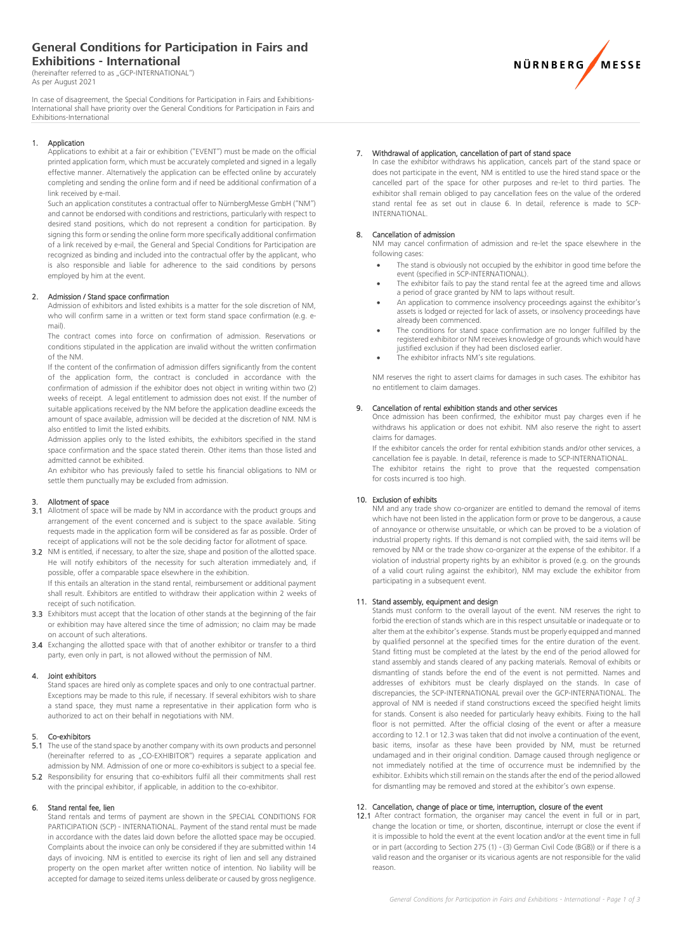## **General Conditions for Participation in Fairs and Exhibitions - International**

(hereinafter referred to as "GCP-INTERNATIONAL") As per August 2021

In case of disagreement, the Special Conditions for Participation in Fairs and Exhibitions-International shall have priority over the General Conditions for Participation in Fairs and Exhibitions-International

#### 1. Application

Applications to exhibit at a fair or exhibition ("EVENT") must be made on the official printed application form, which must be accurately completed and signed in a legally effective manner. Alternatively the application can be effected online by accurately completing and sending the online form and if need be additional confirmation of a link received by e-mail.

Such an application constitutes a contractual offer to NürnbergMesse GmbH ("NM") and cannot be endorsed with conditions and restrictions, particularly with respect to desired stand positions, which do not represent a condition for participation. By signing this form or sending the online form more specifically additional confirmation of a link received by e-mail, the General and Special Conditions for Participation are recognized as binding and included into the contractual offer by the applicant, who is also responsible and liable for adherence to the said conditions by persons employed by him at the event.

#### 2. Admission / Stand space confirmation

Admission of exhibitors and listed exhibits is a matter for the sole discretion of NM, who will confirm same in a written or text form stand space confirmation (e.g. email).

The contract comes into force on confirmation of admission. Reservations or conditions stipulated in the application are invalid without the written confirmation of the NM.

If the content of the confirmation of admission differs significantly from the content of the application form, the contract is concluded in accordance with the confirmation of admission if the exhibitor does not object in writing within two (2) weeks of receipt. A legal entitlement to admission does not exist. If the number of suitable applications received by the NM before the application deadline exceeds the amount of space available, admission will be decided at the discretion of NM. NM is also entitled to limit the listed exhibits.

Admission applies only to the listed exhibits, the exhibitors specified in the stand space confirmation and the space stated therein. Other items than those listed and admitted cannot be exhibited.

An exhibitor who has previously failed to settle his financial obligations to NM or settle them punctually may be excluded from admission.

#### 3. Allotment of space

- 3.1 Allotment of space will be made by NM in accordance with the product groups and arrangement of the event concerned and is subject to the space available. Siting requests made in the application form will be considered as far as possible. Order of receipt of applications will not be the sole deciding factor for allotment of space.
- 3.2 NM is entitled, if necessary, to alter the size, shape and position of the allotted space. He will notify exhibitors of the necessity for such alteration immediately and, if possible, offer a comparable space elsewhere in the exhibition.

If this entails an alteration in the stand rental, reimbursement or additional payment shall result. Exhibitors are entitled to withdraw their application within 2 weeks of receipt of such notification.

- 3.3 Exhibitors must accept that the location of other stands at the beginning of the fair or exhibition may have altered since the time of admission; no claim may be made on account of such alterations.
- 3.4 Exchanging the allotted space with that of another exhibitor or transfer to a third party, even only in part, is not allowed without the permission of NM.

#### 4. Joint exhibitors

Stand spaces are hired only as complete spaces and only to one contractual partner. Exceptions may be made to this rule, if necessary. If several exhibitors wish to share a stand space, they must name a representative in their application form who is authorized to act on their behalf in negotiations with NM.

#### 5. Co-exhibitors

- The use of the stand space by another company with its own products and personnel (hereinafter referred to as "CO-EXHIBITOR") requires a separate application and admission by NM. Admission of one or more co-exhibitors is subject to a special fee. 5.2 Responsibility for ensuring that co-exhibitors fulfil all their commitments shall rest
- with the principal exhibitor, if applicable, in addition to the co-exhibitor.

#### 6. Stand rental fee, lien

Stand rentals and terms of payment are shown in the SPECIAL CONDITIONS FOR PARTICIPATION (SCP) - INTERNATIONAL. Payment of the stand rental must be made in accordance with the dates laid down before the allotted space may be occupied. Complaints about the invoice can only be considered if they are submitted within 14 days of invoicing. NM is entitled to exercise its right of lien and sell any distrained property on the open market after written notice of intention. No liability will be accepted for damage to seized items unless deliberate or caused by gross negligence.

## **NÜRNBERG** MESSE

#### 7. Withdrawal of application, cancellation of part of stand space

In case the exhibitor withdraws his application, cancels part of the stand space or does not participate in the event, NM is entitled to use the hired stand space or the cancelled part of the space for other purposes and re-let to third parties. The exhibitor shall remain obliged to pay cancellation fees on the value of the ordered stand rental fee as set out in clause 6. In detail, reference is made to SCP-INTERNATIONAL.

#### 8. Cancellation of admission

NM may cancel confirmation of admission and re-let the space elsewhere in the following cases:

- The stand is obviously not occupied by the exhibitor in good time before the event (specified in SCP-INTERNATIONAL).
- The exhibitor fails to pay the stand rental fee at the agreed time and allows a period of grace granted by NM to laps without result.
- An application to commence insolvency proceedings against the exhibitor's assets is lodged or rejected for lack of assets, or insolvency proceedings have already been commenced.
- The conditions for stand space confirmation are no longer fulfilled by the registered exhibitor or NM receives knowledge of grounds which would have justified exclusion if they had been disclosed earlier
- The exhibitor infracts NM's site regulations.

NM reserves the right to assert claims for damages in such cases. The exhibitor has no entitlement to claim damages.

#### 9. Cancellation of rental exhibition stands and other services

Once admission has been confirmed, the exhibitor must pay charges even if he withdraws his application or does not exhibit. NM also reserve the right to assert claims for damages.

If the exhibitor cancels the order for rental exhibition stands and/or other services, a cancellation fee is payable. In detail, reference is made to SCP-INTERNATIONAL. The exhibitor retains the right to prove that the requested compensation for costs incurred is too high.

#### 10. Exclusion of exhibits

NM and any trade show co-organizer are entitled to demand the removal of items which have not been listed in the application form or prove to be dangerous, a cause of annoyance or otherwise unsuitable, or which can be proved to be a violation of industrial property rights. If this demand is not complied with, the said items will be removed by NM or the trade show co-organizer at the expense of the exhibitor. If a violation of industrial property rights by an exhibitor is proved (e.g. on the grounds of a valid court ruling against the exhibitor), NM may exclude the exhibitor from participating in a subsequent event.

#### 11. Stand assembly, equipment and design

Stands must conform to the overall layout of the event. NM reserves the right to forbid the erection of stands which are in this respect unsuitable or inadequate or to alter them at the exhibitor's expense. Stands must be properly equipped and manned by qualified personnel at the specified times for the entire duration of the event. Stand fitting must be completed at the latest by the end of the period allowed for stand assembly and stands cleared of any packing materials. Removal of exhibits or dismantling of stands before the end of the event is not permitted. Names and addresses of exhibitors must be clearly displayed on the stands. In case of discrepancies, the SCP-INTERNATIONAL prevail over the GCP-INTERNATIONAL. The approval of NM is needed if stand constructions exceed the specified height limits for stands. Consent is also needed for particularly heavy exhibits. Fixing to the hall floor is not permitted. After the official closing of the event or after a measure according to 12.1 or 12.3 was taken that did not involve a continuation of the event, basic items, insofar as these have been provided by NM, must be returned undamaged and in their original condition. Damage caused through negligence or not immediately notified at the time of occurrence must be indemnified by the exhibitor. Exhibits which still remain on the stands after the end of the period allowed for dismantling may be removed and stored at the exhibitor's own expense.

#### 12. Cancellation, change of place or time, interruption, closure of the event

12.1 After contract formation, the organiser may cancel the event in full or in part, change the location or time, or shorten, discontinue, interrupt or close the event if it is impossible to hold the event at the event location and/or at the event time in full or in part (according to Section 275 (1) - (3) German Civil Code (BGB)) or if there is a valid reason and the organiser or its vicarious agents are not responsible for the valid reason.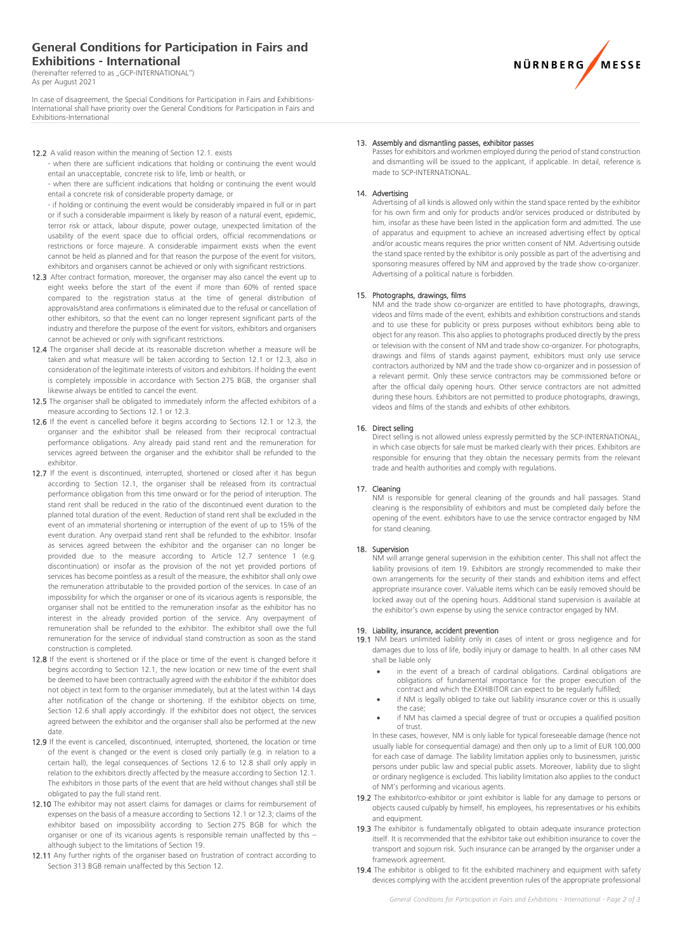### **General Conditions for Participation in Fairs and Exhibitions - International**

(hereinafter referred to as "GCP-INTERNATIONAL") As per August 2021

In case of disagreement, the Special Conditions for Participation in Fairs and Exhibitions-International shall have priority over the General Conditions for Participation in Fairs and Exhibitions-International

#### 12.2 A valid reason within the meaning of Section 12.1, exists

- when there are sufficient indications that holding or continuing the event would entail an unacceptable, concrete risk to life, limb or health, or

- when there are sufficient indications that holding or continuing the event would entail a concrete risk of considerable property damage, or

- if holding or continuing the event would be considerably impaired in full or in part or if such a considerable impairment is likely by reason of a natural event, epidemic, terror risk or attack, labour dispute, power outage, unexpected limitation of the usability of the event space due to official orders, official recommendations or restrictions or force majeure. A considerable impairment exists when the event cannot be held as planned and for that reason the purpose of the event for visitors, exhibitors and organisers cannot be achieved or only with significant restrictions.

- 12.3 After contract formation, moreover, the organiser may also cancel the event up to eight weeks before the start of the event if more than 60% of rented space compared to the registration status at the time of general distribution of approvals/stand area confirmations is eliminated due to the refusal or cancellation of other exhibitors, so that the event can no longer represent significant parts of the industry and therefore the purpose of the event for visitors, exhibitors and organisers cannot be achieved or only with significant restrictions.
- 12.4 The organiser shall decide at its reasonable discretion whether a measure will be taken and what measure will be taken according to Section 12.1 or 12.3, also in consideration of the legitimate interests of visitors and exhibitors. If holding the event is completely impossible in accordance with Section 275 BGB, the organiser shall likewise always be entitled to cancel the event.
- 12.5 The organiser shall be obligated to immediately inform the affected exhibitors of a measure according to Sections 12.1 or 12.3.
- 12.6 If the event is cancelled before it begins according to Sections 12.1 or 12.3, the organiser and the exhibitor shall be released from their reciprocal contractual performance obligations. Any already paid stand rent and the remuneration for services agreed between the organiser and the exhibitor shall be refunded to the exhibitor.
- 12.7 If the event is discontinued, interrupted, shortened or closed after it has begun according to Section 12.1, the organiser shall be released from its contractual performance obligation from this time onward or for the period of interuption. The stand rent shall be reduced in the ratio of the discontinued event duration to the planned total duration of the event. Reduction of stand rent shall be excluded in the event of an immaterial shortening or interruption of the event of up to 15% of the event duration. Any overpaid stand rent shall be refunded to the exhibitor. Insofar as services agreed between the exhibitor and the organiser can no longer be provided due to the measure according to Article 12.7 sentence 1 (e.g. discontinuation) or insofar as the provision of the not yet provided portions of services has become pointless as a result of the measure, the exhibitor shall only owe the remuneration attributable to the provided portion of the services. In case of an impossibility for which the organiser or one of its vicarious agents is responsible, the organiser shall not be entitled to the remuneration insofar as the exhibitor has no interest in the already provided portion of the service. Any overpayment of remuneration shall be refunded to the exhibitor. The exhibitor shall owe the full remuneration for the service of individual stand construction as soon as the stand construction is completed.
- 12.8 If the event is shortened or if the place or time of the event is changed before it begins according to Section 12.1, the new location or new time of the event shall be deemed to have been contractually agreed with the exhibitor if the exhibitor does not object in text form to the organiser immediately, but at the latest within 14 days after notification of the change or shortening. If the exhibitor objects on time, Section 12.6 shall apply accordingly. If the exhibitor does not object, the services agreed between the exhibitor and the organiser shall also be performed at the new date.
- 12.9 If the event is cancelled, discontinued, interrupted, shortened, the location or time of the event is changed or the event is closed only partially (e.g. in relation to a certain hall), the legal consequences of Sections 12.6 to 12.8 shall only apply in relation to the exhibitors directly affected by the measure according to Section 12.1. The exhibitors in those parts of the event that are held without changes shall still be obligated to pay the full stand rent.
- 12.10 The exhibitor may not assert claims for damages or claims for reimbursement of expenses on the basis of a measure according to Sections 12.1 or 12.3; claims of the exhibitor based on impossibility according to Section 275 BGB for which the organiser or one of its vicarious agents is responsible remain unaffected by this – although subject to the limitations of Section 19.
- 12.11 Any further rights of the organiser based on frustration of contract according to Section 313 BGB remain unaffected by this Section 12.

#### 13. Assembly and dismantling passes, exhibitor passes

Passes for exhibitors and workmen employed during the period of stand construction and dismantling will be issued to the applicant, if applicable. In detail, reference is made to SCP-INTERNATIONAL.

#### 14. Advertising

Advertising of all kinds is allowed only within the stand space rented by the exhibitor for his own firm and only for products and/or services produced or distributed by him, insofar as these have been listed in the application form and admitted. The use of apparatus and equipment to achieve an increased advertising effect by optical and/or acoustic means requires the prior written consent of NM. Advertising outside the stand space rented by the exhibitor is only possible as part of the advertising and sponsoring measures offered by NM and approved by the trade show co-organizer. Advertising of a political nature is forbidden.

#### 15. Photographs, drawings, films

NM and the trade show co-organizer are entitled to have photographs, drawings, videos and films made of the event, exhibits and exhibition constructions and stands and to use these for publicity or press purposes without exhibitors being able to object for any reason. This also applies to photographs produced directly by the press or television with the consent of NM and trade show co-organizer. For photographs, drawings and films of stands against payment, exhibitors must only use service contractors authorized by NM and the trade show co-organizer and in possession of a relevant permit. Only these service contractors may be commissioned before or after the official daily opening hours. Other service contractors are not admitted during these hours. Exhibitors are not permitted to produce photographs, drawings, videos and films of the stands and exhibits of other exhibitors.

#### 16. Direct selling

Direct selling is not allowed unless expressly permitted by the SCP-INTERNATIONAL, in which case objects for sale must be marked clearly with their prices. Exhibitors are responsible for ensuring that they obtain the necessary permits from the relevant trade and health authorities and comply with regulations.

#### 17. Cleaning

NM is responsible for general cleaning of the grounds and hall passages. Stand cleaning is the responsibility of exhibitors and must be completed daily before the opening of the event. exhibitors have to use the service contractor engaged by NM for stand cleaning.

#### 18. Supervision

NM will arrange general supervision in the exhibition center. This shall not affect the liability provisions of item 19. Exhibitors are strongly recommended to make their own arrangements for the security of their stands and exhibition items and effect appropriate insurance cover. Valuable items which can be easily removed should be locked away out of the opening hours. Additional stand supervision is available at the exhibitor's own expense by using the service contractor engaged by NM.

#### 19. Liability, insurance, accident prevention

19.1 NM bears unlimited liability only in cases of intent or gross negligence and for damages due to loss of life, bodily injury or damage to health. In all other cases NM shall be liable only

- in the event of a breach of cardinal obligations. Cardinal obligations are obligations of fundamental importance for the proper execution of the contract and which the EXHIBITOR can expect to be regularly fulfilled;
- if NM is legally obliged to take out liability insurance cover or this is usually the case;
- if NM has claimed a special degree of trust or occupies a qualified position of trust.

In these cases, however, NM is only liable for typical foreseeable damage (hence not usually liable for consequential damage) and then only up to a limit of EUR 100,000 for each case of damage. The liability limitation applies only to businessmen, juristic persons under public law and special public assets. Moreover, liability due to slight or ordinary negligence is excluded. This liability limitation also applies to the conduct of NM's performing and vicarious agents.

- 19.2 The exhibitor/co-exhibitor or joint exhibitor is liable for any damage to persons or objects caused culpably by himself, his employees, his representatives or his exhibits and equipment.
- 19.3 The exhibitor is fundamentally obligated to obtain adequate insurance protection itself. It is recommended that the exhibitor take out exhibition insurance to cover the transport and sojourn risk. Such insurance can be arranged by the organiser under a framework agreement.
- 19.4 The exhibitor is obliged to fit the exhibited machinery and equipment with safety devices complying with the accident prevention rules of the appropriate professional

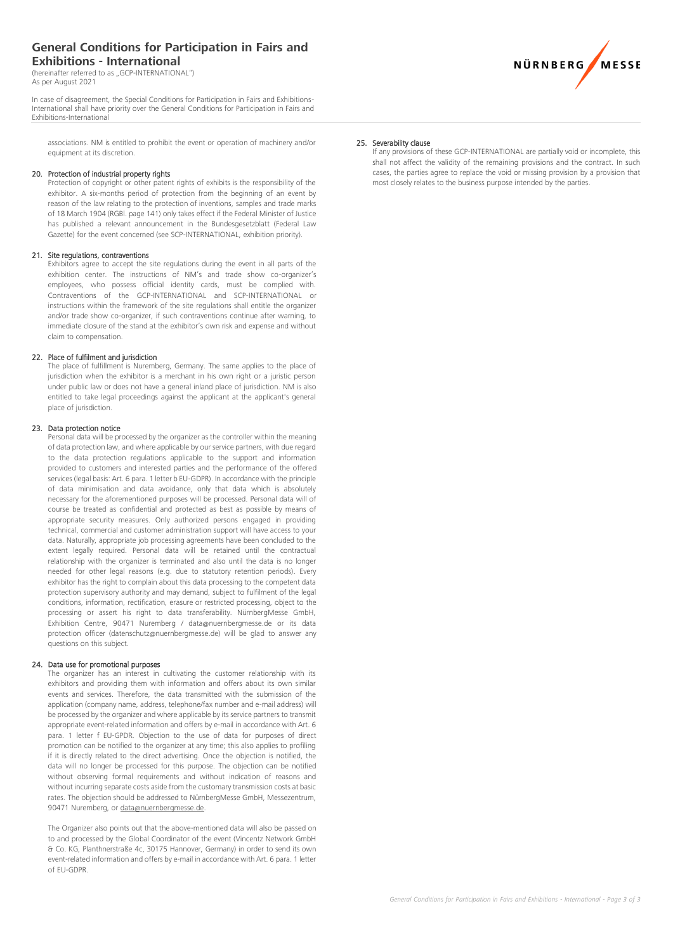### **General Conditions for Participation in Fairs and Exhibitions - International**

(hereinafter referred to as "GCP-INTERNATIONAL") As per August 2021

In case of disagreement, the Special Conditions for Participation in Fairs and Exhibitions-International shall have priority over the General Conditions for Participation in Fairs and Exhibitions-International

associations. NM is entitled to prohibit the event or operation of machinery and/or equipment at its discretion.

#### 20. Protection of industrial property rights

Protection of copyright or other patent rights of exhibits is the responsibility of the exhibitor. A six-months period of protection from the beginning of an event by reason of the law relating to the protection of inventions, samples and trade marks of 18 March 1904 (RGBl. page 141) only takes effect if the Federal Minister of Justice has published a relevant announcement in the Bundesgesetzblatt (Federal Law Gazette) for the event concerned (see SCP-INTERNATIONAL, exhibition priority).

#### 21. Site regulations, contraventions

Exhibitors agree to accept the site regulations during the event in all parts of the exhibition center. The instructions of NM's and trade show co-organizer's employees, who possess official identity cards, must be complied with. Contraventions of the GCP-INTERNATIONAL and SCP-INTERNATIONAL or instructions within the framework of the site regulations shall entitle the organizer and/or trade show co-organizer, if such contraventions continue after warning, to immediate closure of the stand at the exhibitor's own risk and expense and without claim to compensation.

### 22. Place of fulfilment and jurisdiction

The place of fulfillment is Nuremberg, Germany. The same applies to the place of jurisdiction when the exhibitor is a merchant in his own right or a juristic person under public law or does not have a general inland place of jurisdiction. NM is also entitled to take legal proceedings against the applicant at the applicant's general place of jurisdiction.

#### 23. Data protection notice

Personal data will be processed by the organizer as the controller within the meaning of data protection law, and where applicable by our service partners, with due regard to the data protection regulations applicable to the support and information provided to customers and interested parties and the performance of the offered services (legal basis: Art. 6 para. 1 letter b EU-GDPR). In accordance with the principle of data minimisation and data avoidance, only that data which is absolutely necessary for the aforementioned purposes will be processed. Personal data will of course be treated as confidential and protected as best as possible by means of appropriate security measures. Only authorized persons engaged in providing technical, commercial and customer administration support will have access to your data. Naturally, appropriate job processing agreements have been concluded to the extent legally required. Personal data will be retained until the contractual relationship with the organizer is terminated and also until the data is no longer needed for other legal reasons (e.g. due to statutory retention periods). Every exhibitor has the right to complain about this data processing to the competent data protection supervisory authority and may demand, subject to fulfilment of the legal conditions, information, rectification, erasure or restricted processing, object to the processing or assert his right to data transferability. NürnbergMesse GmbH, Exhibition Centre, 90471 Nuremberg / data@nuernbergmesse.de or its data protection officer (datenschutz@nuernbergmesse.de) will be glad to answer any questions on this subject.

#### 24. Data use for promotional purposes

The organizer has an interest in cultivating the customer relationship with its exhibitors and providing them with information and offers about its own similar events and services. Therefore, the data transmitted with the submission of the application (company name, address, telephone/fax number and e-mail address) will be processed by the organizer and where applicable by its service partners to transmit appropriate event-related information and offers by e-mail in accordance with Art. 6 para. 1 letter f EU-GPDR. Objection to the use of data for purposes of direct promotion can be notified to the organizer at any time; this also applies to profiling if it is directly related to the direct advertising. Once the objection is notified, the data will no longer be processed for this purpose. The objection can be notified without observing formal requirements and without indication of reasons and without incurring separate costs aside from the customary transmission costs at basic rates. The objection should be addressed to NürnbergMesse GmbH, Messezentrum, 90471 Nuremberg, or [data@nuernbergmesse.de.](mailto:data@nuernbergmesse.de)

The Organizer also points out that the above-mentioned data will also be passed on to and processed by the Global Coordinator of the event (Vincentz Network GmbH & Co. KG, Planthnerstraße 4c, 30175 Hannover, Germany) in order to send its own event-related information and offers by e-mail in accordance with Art. 6 para. 1 letter of EU-GDPR.

#### 25. Severability clause

If any provisions of these GCP-INTERNATIONAL are partially void or incomplete, this shall not affect the validity of the remaining provisions and the contract. In such cases, the parties agree to replace the void or missing provision by a provision that most closely relates to the business purpose intended by the parties.

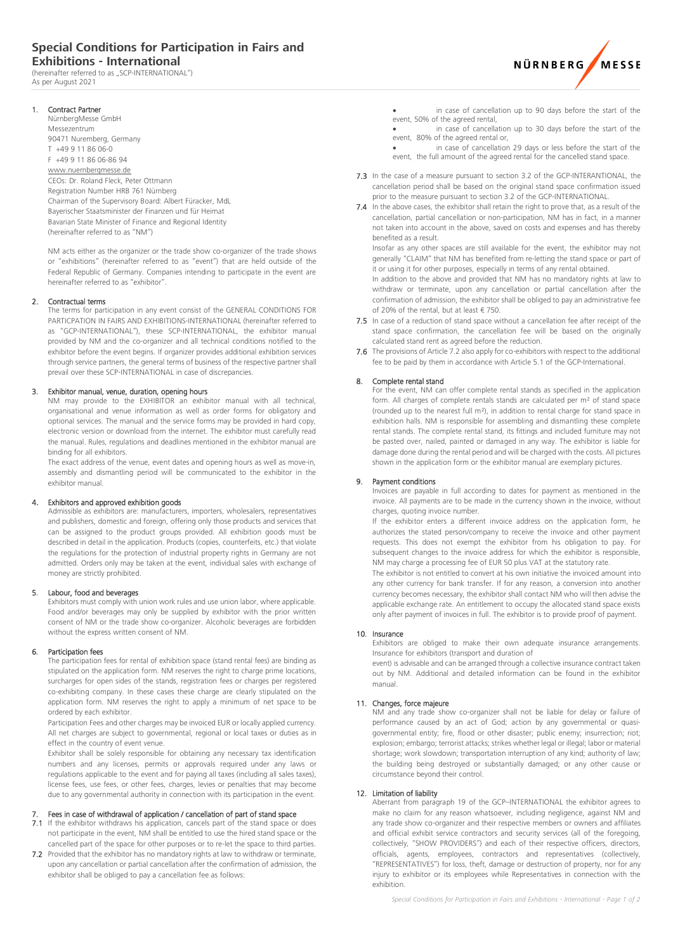## **Special Conditions for Participation in Fairs and Exhibitions - International**

(hereinafter referred to as ...SCP-INTERNATIONAL") As per August 2021



1. Contract Partner

NürnbergMesse GmbH Messezentrum 90471 Nuremberg, Germany T +49 9 11 86 06-0 F +49 9 11 86 06-86 94 www.nuernbergmesse.de CEOs: Dr. Roland Fleck, Peter Ottmann Registration Number HRB 761 Nürnberg Chairman of the Supervisory Board: Albert Füracker, MdL Bayerischer Staatsminister der Finanzen und für Heimat Bavarian State Minister of Finance and Regional Identity (hereinafter referred to as "NM")

NM acts either as the organizer or the trade show co-organizer of the trade shows or "exhibitions" (hereinafter referred to as "event") that are held outside of the Federal Republic of Germany. Companies intending to participate in the event are hereinafter referred to as "exhibitor".

#### Contractual terms

The terms for participation in any event consist of the GENERAL CONDITIONS FOR PARTICPATION IN FAIRS AND EXHIBITIONS-INTERNATIONAL (hereinafter referred to as "GCP-INTERNATIONAL"), these SCP-INTERNATIONAL, the exhibitor manual provided by NM and the co-organizer and all technical conditions notified to the exhibitor before the event begins. If organizer provides additional exhibition services through service partners, the general terms of business of the respective partner shall prevail over these SCP-INTERNATIONAL in case of discrepancies.

#### 3. Exhibitor manual, venue, duration, opening hours

NM may provide to the EXHIBITOR an exhibitor manual with all technical, organisational and venue information as well as order forms for obligatory and optional services. The manual and the service forms may be provided in hard copy, electronic version or download from the internet. The exhibitor must carefully read the manual. Rules, regulations and deadlines mentioned in the exhibitor manual are binding for all exhibitors.

The exact address of the venue, event dates and opening hours as well as move-in, assembly and dismantling period will be communicated to the exhibitor in the exhibitor manual.

#### 4. Exhibitors and approved exhibition goods

Admissible as exhibitors are: manufacturers, importers, wholesalers, representatives and publishers, domestic and foreign, offering only those products and services that can be assigned to the product groups provided. All exhibition goods must be described in detail in the application. Products (copies, counterfeits, etc.) that violate the regulations for the protection of industrial property rights in Germany are not admitted. Orders only may be taken at the event, individual sales with exchange of money are strictly prohibited.

#### 5. Labour, food and beverages

Exhibitors must comply with union work rules and use union labor, where applicable. Food and/or beverages may only be supplied by exhibitor with the prior written consent of NM or the trade show co-organizer. Alcoholic beverages are forbidden without the express written consent of NM.

#### 6. Participation fees

The participation fees for rental of exhibition space (stand rental fees) are binding as stipulated on the application form. NM reserves the right to charge prime locations, surcharges for open sides of the stands, registration fees or charges per registered co-exhibiting company. In these cases these charge are clearly stipulated on the application form. NM reserves the right to apply a minimum of net space to be ordered by each exhibitor.

Participation Fees and other charges may be invoiced EUR or locally applied currency. All net charges are subject to governmental, regional or local taxes or duties as in effect in the country of event venue.

Exhibitor shall be solely responsible for obtaining any necessary tax identification numbers and any licenses, permits or approvals required under any laws or regulations applicable to the event and for paying all taxes (including all sales taxes), license fees, use fees, or other fees, charges, levies or penalties that may become due to any governmental authority in connection with its participation in the event.

#### Fees in case of withdrawal of application / cancellation of part of stand space

7.1 If the exhibitor withdraws his application, cancels part of the stand space or does not participate in the event, NM shall be entitled to use the hired stand space or the cancelled part of the space for other purposes or to re-let the space to third parties.

7.2 Provided that the exhibitor has no mandatory rights at law to withdraw or terminate, upon any cancellation or partial cancellation after the confirmation of admission, the exhibitor shall be obliged to pay a cancellation fee as follows:

in case of cancellation up to 90 days before the start of the event, 50% of the agreed rental,

in case of cancellation up to 30 days before the start of the event, 80% of the agreed rental or,

in case of cancellation 29 days or less before the start of the event, the full amount of the agreed rental for the cancelled stand space.

- 7.3 In the case of a measure pursuant to section 3.2 of the GCP-INTERANTIONAL, the cancellation period shall be based on the original stand space confirmation issued prior to the measure pursuant to section 3.2 of the GCP-INTERNATIONAL.
- 7.4 In the above cases, the exhibitor shall retain the right to prove that, as a result of the cancellation, partial cancellation or non-participation, NM has in fact, in a manner not taken into account in the above, saved on costs and expenses and has thereby benefited as a result.

Insofar as any other spaces are still available for the event, the exhibitor may not generally "CLAIM" that NM has benefited from re-letting the stand space or part of it or using it for other purposes, especially in terms of any rental obtained.

In addition to the above and provided that NM has no mandatory rights at law to withdraw or terminate, upon any cancellation or partial cancellation after the confirmation of admission, the exhibitor shall be obliged to pay an administrative fee of 20% of the rental, but at least € 750.

- 7.5 In case of a reduction of stand space without a cancellation fee after receipt of the stand space confirmation, the cancellation fee will be based on the originally calculated stand rent as agreed before the reduction.
- 7.6 The provisions of Article 7.2 also apply for co-exhibitors with respect to the additional fee to be paid by them in accordance with Article 5.1 of the GCP-International.

#### 8. Complete rental stand

For the event, NM can offer complete rental stands as specified in the application form. All charges of complete rentals stands are calculated per m² of stand space (rounded up to the nearest full m²), in addition to rental charge for stand space in exhibition halls. NM is responsible for assembling and dismantling these complete rental stands. The complete rental stand, its fittings and included furniture may not be pasted over, nailed, painted or damaged in any way. The exhibitor is liable for damage done during the rental period and will be charged with the costs. All pictures shown in the application form or the exhibitor manual are exemplary pictures.

#### 9. Payment conditions

Invoices are payable in full according to dates for payment as mentioned in the invoice. All payments are to be made in the currency shown in the invoice, without charges, quoting invoice number.

If the exhibitor enters a different invoice address on the application form, he authorizes the stated person/company to receive the invoice and other payment requests. This does not exempt the exhibitor from his obligation to pay. For subsequent changes to the invoice address for which the exhibitor is responsible, NM may charge a processing fee of EUR 50 plus VAT at the statutory rate.

The exhibitor is not entitled to convert at his own initiative the invoiced amount into any other currency for bank transfer. If for any reason, a conversion into another currency becomes necessary, the exhibitor shall contact NM who will then advise the applicable exchange rate. An entitlement to occupy the allocated stand space exists only after payment of invoices in full. The exhibitor is to provide proof of payment.

#### 10. Insurance

Exhibitors are obliged to make their own adequate insurance arrangements. Insurance for exhibitors (transport and duration of

event) is advisable and can be arranged through a collective insurance contract taken out by NM. Additional and detailed information can be found in the exhibitor manual.

#### 11. Changes, force majeure

NM and any trade show co-organizer shall not be liable for delay or failure of performance caused by an act of God; action by any governmental or quasigovernmental entity; fire, flood or other disaster; public enemy; insurrection; riot; explosion; embargo; terrorist attacks; strikes whether legal or illegal; labor or material shortage; work slowdown; transportation interruption of any kind; authority of law; the building being destroyed or substantially damaged; or any other cause or circumstance beyond their control.

#### 12. Limitation of liability

Aberrant from paragraph 19 of the GCP–INTERNATIONAL the exhibitor agrees to make no claim for any reason whatsoever, including negligence, against NM and any trade show co-organizer and their respective members or owners and affiliates and official exhibit service contractors and security services (all of the foregoing, collectively, "SHOW PROVIDERS") and each of their respective officers, directors, officials, agents, employees, contractors and representatives (collectively, "REPRESENTATIVES") for loss, theft, damage or destruction of property, nor for any injury to exhibitor or its employees while Representatives in connection with the exhibition.